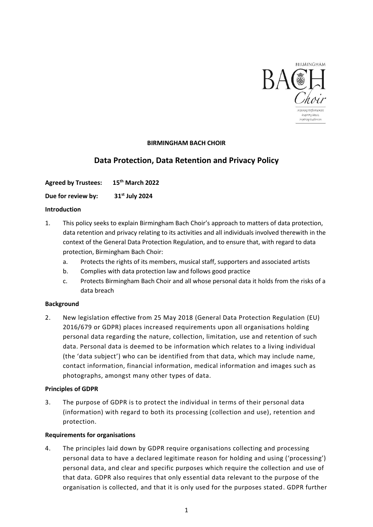

## **BIRMINGHAM BACH CHOIR**

# **Data Protection, Data Retention and Privacy Policy**

**Agreed by Trustees: 15th March 2022**

**Due for review by: 31st July 2024**

## **Introduction**

- 1. This policy seeks to explain Birmingham Bach Choir's approach to matters of data protection, data retention and privacy relating to its activities and all individuals involved therewith in the context of the General Data Protection Regulation, and to ensure that, with regard to data protection, Birmingham Bach Choir:
	- a. Protects the rights of its members, musical staff, supporters and associated artists
	- b. Complies with data protection law and follows good practice
	- c. Protects Birmingham Bach Choir and all whose personal data it holds from the risks of a data breach

## **Background**

2. New legislation effective from 25 May 2018 (General Data Protection Regulation (EU) 2016/679 or GDPR) places increased requirements upon all organisations holding personal data regarding the nature, collection, limitation, use and retention of such data. Personal data is deemed to be information which relates to a living individual (the 'data subject') who can be identified from that data, which may include name, contact information, financial information, medical information and images such as photographs, amongst many other types of data.

## **Principles of GDPR**

3. The purpose of GDPR is to protect the individual in terms of their personal data (information) with regard to both its processing (collection and use), retention and protection.

## **Requirements for organisations**

4. The principles laid down by GDPR require organisations collecting and processing personal data to have a declared legitimate reason for holding and using ('processing') personal data, and clear and specific purposes which require the collection and use of that data. GDPR also requires that only essential data relevant to the purpose of the organisation is collected, and that it is only used for the purposes stated. GDPR further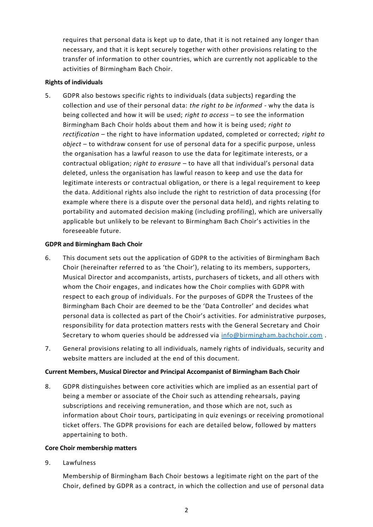requires that personal data is kept up to date, that it is not retained any longer than necessary, and that it is kept securely together with other provisions relating to the transfer of information to other countries, which are currently not applicable to the activities of Birmingham Bach Choir.

#### **Rights of individuals**

5. GDPR also bestows specific rights to individuals (data subjects) regarding the collection and use of their personal data: *the right to be informed* - why the data is being collected and how it will be used; *right to access* – to see the information Birmingham Bach Choir holds about them and how it is being used; *right to rectification* – the right to have information updated, completed or corrected; *right to object* – to withdraw consent for use of personal data for a specific purpose, unless the organisation has a lawful reason to use the data for legitimate interests, or a contractual obligation; *right to erasure* – to have all that individual's personal data deleted, unless the organisation has lawful reason to keep and use the data for legitimate interests or contractual obligation, or there is a legal requirement to keep the data. Additional rights also include the right to restriction of data processing (for example where there is a dispute over the personal data held), and rights relating to portability and automated decision making (including profiling), which are universally applicable but unlikely to be relevant to Birmingham Bach Choir's activities in the foreseeable future.

#### **GDPR and Birmingham Bach Choir**

- 6. This document sets out the application of GDPR to the activities of Birmingham Bach Choir (hereinafter referred to as 'the Choir'), relating to its members, supporters, Musical Director and accompanists, artists, purchasers of tickets, and all others with whom the Choir engages, and indicates how the Choir complies with GDPR with respect to each group of individuals. For the purposes of GDPR the Trustees of the Birmingham Bach Choir are deemed to be the 'Data Controller' and decides what personal data is collected as part of the Choir's activities. For administrative purposes, responsibility for data protection matters rests with the General Secretary and Choir Secretary to whom queries should be addressed via [info@birmingham.bachchoir.com](mailto:info@birmingham.bachchoir.com).
- 7. General provisions relating to all individuals, namely rights of individuals, security and website matters are included at the end of this document.

## **Current Members, Musical Director and Principal Accompanist of Birmingham Bach Choir**

8. GDPR distinguishes between core activities which are implied as an essential part of being a member or associate of the Choir such as attending rehearsals, paying subscriptions and receiving remuneration, and those which are not, such as information about Choir tours, participating in quiz evenings or receiving promotional ticket offers. The GDPR provisions for each are detailed below, followed by matters appertaining to both.

## **Core Choir membership matters**

9. Lawfulness

Membership of Birmingham Bach Choir bestows a legitimate right on the part of the Choir, defined by GDPR as a contract, in which the collection and use of personal data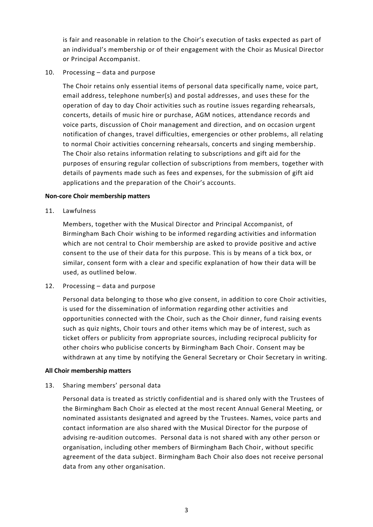is fair and reasonable in relation to the Choir's execution of tasks expected as part of an individual's membership or of their engagement with the Choir as Musical Director or Principal Accompanist.

## 10. Processing – data and purpose

The Choir retains only essential items of personal data specifically name, voice part, email address, telephone number(s) and postal addresses, and uses these for the operation of day to day Choir activities such as routine issues regarding rehearsals, concerts, details of music hire or purchase, AGM notices, attendance records and voice parts, discussion of Choir management and direction, and on occasion urgent notification of changes, travel difficulties, emergencies or other problems, all relating to normal Choir activities concerning rehearsals, concerts and singing membership. The Choir also retains information relating to subscriptions and gift aid for the purposes of ensuring regular collection of subscriptions from members, together with details of payments made such as fees and expenses, for the submission of gift aid applications and the preparation of the Choir's accounts.

#### **Non-core Choir membership matters**

11. Lawfulness

Members, together with the Musical Director and Principal Accompanist, of Birmingham Bach Choir wishing to be informed regarding activities and information which are not central to Choir membership are asked to provide positive and active consent to the use of their data for this purpose. This is by means of a tick box, or similar, consent form with a clear and specific explanation of how their data will be used, as outlined below.

## 12. Processing – data and purpose

Personal data belonging to those who give consent, in addition to core Choir activities, is used for the dissemination of information regarding other activities and opportunities connected with the Choir, such as the Choir dinner, fund raising events such as quiz nights, Choir tours and other items which may be of interest, such as ticket offers or publicity from appropriate sources, including reciprocal publicity for other choirs who publicise concerts by Birmingham Bach Choir. Consent may be withdrawn at any time by notifying the General Secretary or Choir Secretary in writing.

#### **All Choir membership matters**

## 13. Sharing members' personal data

Personal data is treated as strictly confidential and is shared only with the Trustees of the Birmingham Bach Choir as elected at the most recent Annual General Meeting, or nominated assistants designated and agreed by the Trustees. Names, voice parts and contact information are also shared with the Musical Director for the purpose of advising re-audition outcomes. Personal data is not shared with any other person or organisation, including other members of Birmingham Bach Choir, without specific agreement of the data subject. Birmingham Bach Choir also does not receive personal data from any other organisation.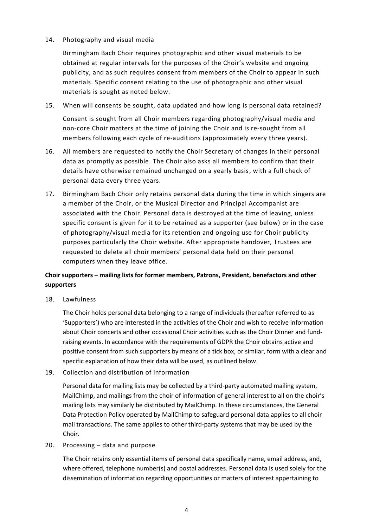#### 14. Photography and visual media

Birmingham Bach Choir requires photographic and other visual materials to be obtained at regular intervals for the purposes of the Choir's website and ongoing publicity, and as such requires consent from members of the Choir to appear in such materials. Specific consent relating to the use of photographic and other visual materials is sought as noted below.

15. When will consents be sought, data updated and how long is personal data retained?

Consent is sought from all Choir members regarding photography/visual media and non-core Choir matters at the time of joining the Choir and is re-sought from all members following each cycle of re-auditions (approximately every three years).

- 16. All members are requested to notify the Choir Secretary of changes in their personal data as promptly as possible. The Choir also asks all members to confirm that their details have otherwise remained unchanged on a yearly basis, with a full check of personal data every three years.
- 17. Birmingham Bach Choir only retains personal data during the time in which singers are a member of the Choir, or the Musical Director and Principal Accompanist are associated with the Choir. Personal data is destroyed at the time of leaving, unless specific consent is given for it to be retained as a supporter (see below) or in the case of photography/visual media for its retention and ongoing use for Choir publicity purposes particularly the Choir website. After appropriate handover, Trustees are requested to delete all choir members' personal data held on their personal computers when they leave office.

## **Choir supporters – mailing lists for former members, Patrons, President, benefactors and other supporters**

18. Lawfulness

The Choir holds personal data belonging to a range of individuals (hereafter referred to as 'Supporters') who are interested in the activities of the Choir and wish to receive information about Choir concerts and other occasional Choir activities such as the Choir Dinner and fundraising events. In accordance with the requirements of GDPR the Choir obtains active and positive consent from such supporters by means of a tick box, or similar, form with a clear and specific explanation of how their data will be used, as outlined below.

19. Collection and distribution of information

Personal data for mailing lists may be collected by a third-party automated mailing system, MailChimp, and mailings from the choir of information of general interest to all on the choir's mailing lists may similarly be distributed by MailChimp. In these circumstances, the General Data Protection Policy operated by MailChimp to safeguard personal data applies to all choir mail transactions. The same applies to other third-party systems that may be used by the Choir.

20. Processing – data and purpose

The Choir retains only essential items of personal data specifically name, email address, and, where offered, telephone number(s) and postal addresses. Personal data is used solely for the dissemination of information regarding opportunities or matters of interest appertaining to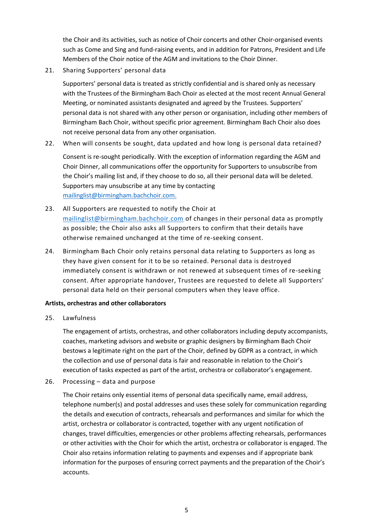the Choir and its activities, such as notice of Choir concerts and other Choir-organised events such as Come and Sing and fund-raising events, and in addition for Patrons, President and Life Members of the Choir notice of the AGM and invitations to the Choir Dinner.

21. Sharing Supporters' personal data

Supporters' personal data is treated as strictly confidential and is shared only as necessary with the Trustees of the Birmingham Bach Choir as elected at the most recent Annual General Meeting, or nominated assistants designated and agreed by the Trustees. Supporters' personal data is not shared with any other person or organisation, including other members of Birmingham Bach Choir, without specific prior agreement. Birmingham Bach Choir also does not receive personal data from any other organisation.

22. When will consents be sought, data updated and how long is personal data retained?

Consent is re-sought periodically. With the exception of information regarding the AGM and Choir Dinner, all communications offer the opportunity for Supporters to unsubscribe from the Choir's mailing list and, if they choose to do so, all their personal data will be deleted. Supporters may unsubscribe at any time by contacting [mailinglist@birmingham.bachchoir.com.](mailto:mailinglist@birmingham.bachchoir.com)

- 23. All Supporters are requested to notify the Choir at [mailinglist@birmingham.bachchoir.com](mailto:mailinglist@birmingham.bachchoir.com) of changes in their personal data as promptly as possible; the Choir also asks all Supporters to confirm that their details have otherwise remained unchanged at the time of re-seeking consent.
- 24. Birmingham Bach Choir only retains personal data relating to Supporters as long as they have given consent for it to be so retained. Personal data is destroyed immediately consent is withdrawn or not renewed at subsequent times of re-seeking consent. After appropriate handover, Trustees are requested to delete all Supporters' personal data held on their personal computers when they leave office.

#### **Artists, orchestras and other collaborators**

25. Lawfulness

The engagement of artists, orchestras, and other collaborators including deputy accompanists, coaches, marketing advisors and website or graphic designers by Birmingham Bach Choir bestows a legitimate right on the part of the Choir, defined by GDPR as a contract, in which the collection and use of personal data is fair and reasonable in relation to the Choir's execution of tasks expected as part of the artist, orchestra or collaborator's engagement.

26. Processing – data and purpose

The Choir retains only essential items of personal data specifically name, email address, telephone number(s) and postal addresses and uses these solely for communication regarding the details and execution of contracts, rehearsals and performances and similar for which the artist, orchestra or collaborator is contracted, together with any urgent notification of changes, travel difficulties, emergencies or other problems affecting rehearsals, performances or other activities with the Choir for which the artist, orchestra or collaborator is engaged. The Choir also retains information relating to payments and expenses and if appropriate bank information for the purposes of ensuring correct payments and the preparation of the Choir's accounts.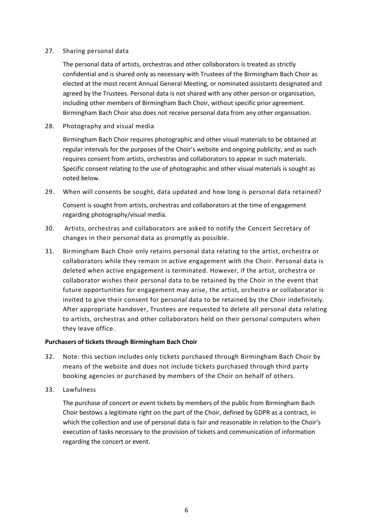#### 27. Sharing personal data

The personal data of artists, orchestras and other collaborators is treated as strictly confidential and is shared only as necessary with Trustees of the Birmingham Bach Choir as elected at the most recent Annual General Meeting, or nominated assistants designated and agreed by the Trustees. Personal data is not shared with any other person or organisation, including other members of Birmingham Bach Choir, without specific prior agreement. Birmingham Bach Choir also does not receive personal data from any other organisation.

28. Photography and visual media

Birmingham Bach Choir requires photographic and other visual materials to be obtained at regular intervals for the purposes of the Choir's website and ongoing publicity, and as such requires consent from artists, orchestras and collaborators to appear in such materials. Specific consent relating to the use of photographic and other visual materials is sought as noted below.

29. When will consents be sought, data updated and how long is personal data retained?

Consent is sought from artists, orchestras and collaborators at the time of engagement regarding photography/visual media.

- 30. Artists, orchestras and collaborators are asked to notify the Concert Secretary of changes in their personal data as promptly as possible.
- 31. Birmingham Bach Choir only retains personal data relating to the artist, orchestra or collaborators while they remain in active engagement with the Choir. Personal data is deleted when active engagement is terminated. However, if the artist, orchestra or collaborator wishes their personal data to be retained by the Choir in the event that future opportunities for engagement may arise, the artist, orchestra or collaborator is invited to give their consent for personal data to be retained by the Choir indefinitely. After appropriate handover, Trustees are requested to delete all personal data relating to artists, orchestras and other collaborators held on their personal computers when they leave office.

#### **Purchasers of tickets through Birmingham Bach Choir**

- 32. Note: this section includes only tickets purchased through Birmingham Bach Choir by means of the website and does not include tickets purchased through third party booking agencies or purchased by members of the Choir on behalf of others.
- 33. Lawfulness

The purchase of concert or event tickets by members of the public from Birmingham Bach Choir bestows a legitimate right on the part of the Choir, defined by GDPR as a contract, in which the collection and use of personal data is fair and reasonable in relation to the Choir's execution of tasks necessary to the provision of tickets and communication of information regarding the concert or event.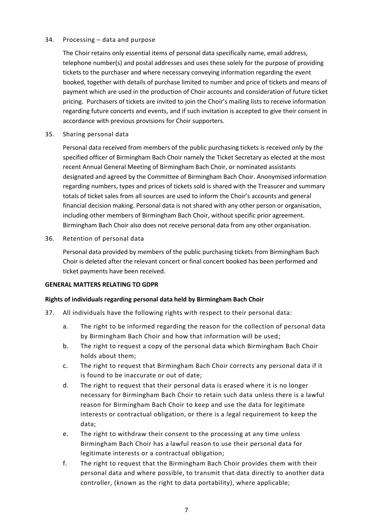#### 34. Processing – data and purpose

The Choir retains only essential items of personal data specifically name, email address, telephone number(s) and postal addresses and uses these solely for the purpose of providing tickets to the purchaser and where necessary conveying information regarding the event booked, together with details of purchase limited to number and price of tickets and means of payment which are used in the production of Choir accounts and consideration of future ticket pricing. Purchasers of tickets are invited to join the Choir's mailing lists to receive information regarding future concerts and events, and if such invitation is accepted to give their consent in accordance with previous provisions for Choir supporters.

35. Sharing personal data

Personal data received from members of the public purchasing tickets is received only by the specified officer of Birmingham Bach Choir namely the Ticket Secretary as elected at the most recent Annual General Meeting of Birmingham Bach Choir, or nominated assistants designated and agreed by the Committee of Birmingham Bach Choir. Anonymised information regarding numbers, types and prices of tickets sold is shared with the Treasurer and summary totals of ticket sales from all sources are used to inform the Choir's accounts and general financial decision making. Personal data is not shared with any other person or organisation, including other members of Birmingham Bach Choir, without specific prior agreement. Birmingham Bach Choir also does not receive personal data from any other organisation.

36. Retention of personal data

Personal data provided by members of the public purchasing tickets from Birmingham Bach Choir is deleted after the relevant concert or final concert booked has been performed and ticket payments have been received.

#### **GENERAL MATTERS RELATING TO GDPR**

## **Rights of individuals regarding personal data held by Birmingham Bach Choir**

- 37. All individuals have the following rights with respect to their personal data:
	- a. The right to be informed regarding the reason for the collection of personal data by Birmingham Bach Choir and how that information will be used;
	- b. The right to request a copy of the personal data which Birmingham Bach Choir holds about them;
	- c. The right to request that Birmingham Bach Choir corrects any personal data if it is found to be inaccurate or out of date;
	- d. The right to request that their personal data is erased where it is no longer necessary for Birmingham Bach Choir to retain such data unless there is a lawful reason for Birmingham Bach Choir to keep and use the data for legitimate interests or contractual obligation, or there is a legal requirement to keep the data;
	- e. The right to withdraw their consent to the processing at any time unless Birmingham Bach Choir has a lawful reason to use their personal data for legitimate interests or a contractual obligation;
	- f. The right to request that the Birmingham Bach Choir provides them with their personal data and where possible, to transmit that data directly to another data controller, (known as the right to data portability), where applicable;